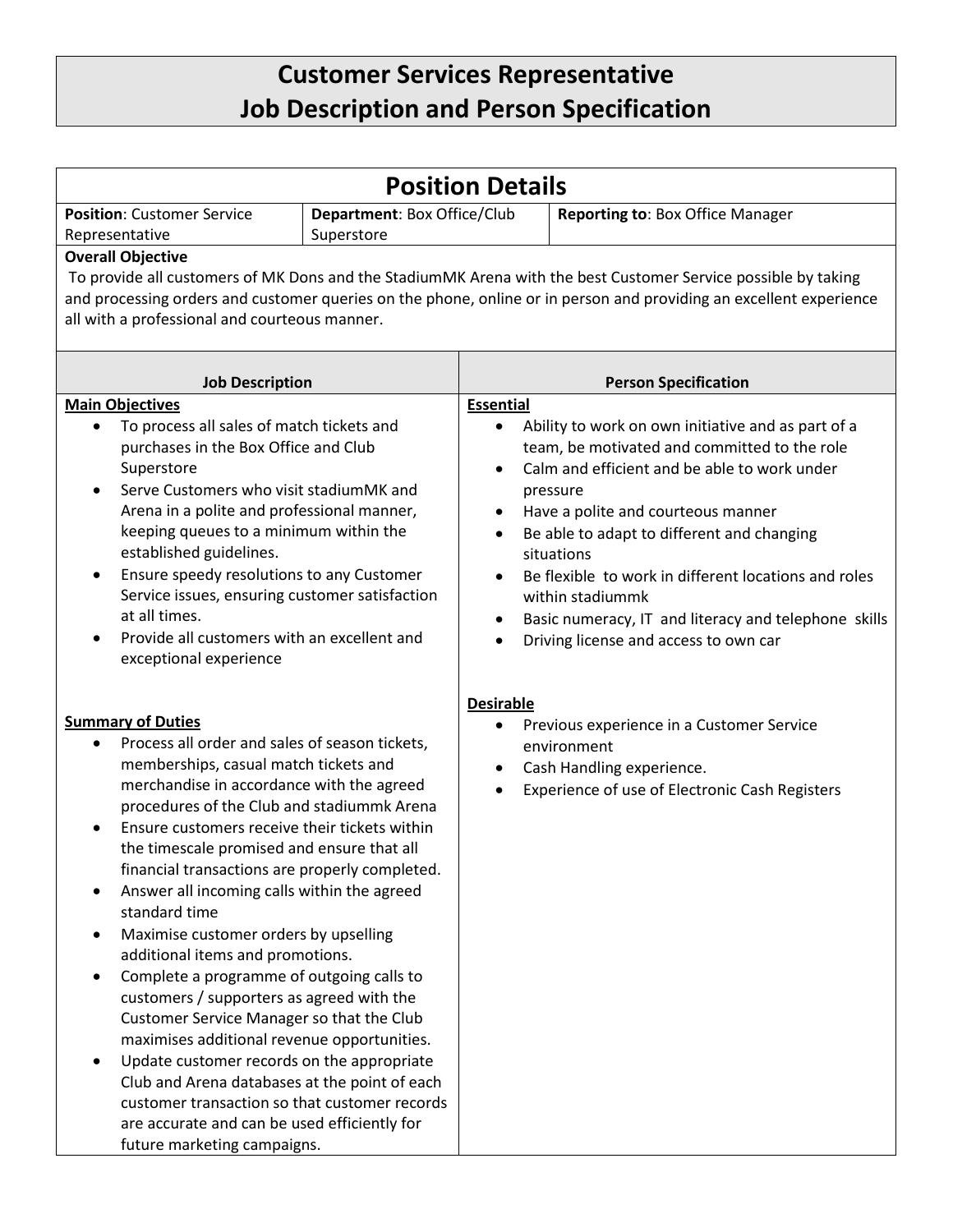## **Customer Services Representative Job Description and Person Specification**

| <b>Position Details</b>                                                                                                                                                                                                                                                                                                                                                                                                                                                                                                                                                                                                                                                                                                                                                                                                                                                                                                                                                       |                                           |                                            |                                                                                                                                                                                                                                                                                                                                                                                                                                               |  |
|-------------------------------------------------------------------------------------------------------------------------------------------------------------------------------------------------------------------------------------------------------------------------------------------------------------------------------------------------------------------------------------------------------------------------------------------------------------------------------------------------------------------------------------------------------------------------------------------------------------------------------------------------------------------------------------------------------------------------------------------------------------------------------------------------------------------------------------------------------------------------------------------------------------------------------------------------------------------------------|-------------------------------------------|--------------------------------------------|-----------------------------------------------------------------------------------------------------------------------------------------------------------------------------------------------------------------------------------------------------------------------------------------------------------------------------------------------------------------------------------------------------------------------------------------------|--|
| <b>Position: Customer Service</b><br>Representative                                                                                                                                                                                                                                                                                                                                                                                                                                                                                                                                                                                                                                                                                                                                                                                                                                                                                                                           | Department: Box Office/Club<br>Superstore |                                            | <b>Reporting to: Box Office Manager</b>                                                                                                                                                                                                                                                                                                                                                                                                       |  |
| <b>Overall Objective</b><br>To provide all customers of MK Dons and the StadiumMK Arena with the best Customer Service possible by taking<br>and processing orders and customer queries on the phone, online or in person and providing an excellent experience<br>all with a professional and courteous manner.                                                                                                                                                                                                                                                                                                                                                                                                                                                                                                                                                                                                                                                              |                                           |                                            |                                                                                                                                                                                                                                                                                                                                                                                                                                               |  |
| <b>Job Description</b>                                                                                                                                                                                                                                                                                                                                                                                                                                                                                                                                                                                                                                                                                                                                                                                                                                                                                                                                                        |                                           | <b>Person Specification</b>                |                                                                                                                                                                                                                                                                                                                                                                                                                                               |  |
| <b>Main Objectives</b><br>To process all sales of match tickets and<br>$\bullet$<br>purchases in the Box Office and Club<br>Superstore<br>Serve Customers who visit stadiumMK and<br>$\bullet$<br>Arena in a polite and professional manner,<br>keeping queues to a minimum within the<br>established guidelines.<br>Ensure speedy resolutions to any Customer<br>$\bullet$<br>Service issues, ensuring customer satisfaction<br>at all times.<br>Provide all customers with an excellent and<br>exceptional experience                                                                                                                                                                                                                                                                                                                                                                                                                                                       |                                           | <b>Essential</b><br>$\bullet$<br>$\bullet$ | Ability to work on own initiative and as part of a<br>team, be motivated and committed to the role<br>Calm and efficient and be able to work under<br>pressure<br>Have a polite and courteous manner<br>Be able to adapt to different and changing<br>situations<br>Be flexible to work in different locations and roles<br>within stadiummk<br>Basic numeracy, IT and literacy and telephone skills<br>Driving license and access to own car |  |
| <b>Summary of Duties</b><br>Process all order and sales of season tickets,<br>٠<br>memberships, casual match tickets and<br>merchandise in accordance with the agreed<br>procedures of the Club and stadiummk Arena<br>Ensure customers receive their tickets within<br>the timescale promised and ensure that all<br>financial transactions are properly completed.<br>Answer all incoming calls within the agreed<br>standard time<br>Maximise customer orders by upselling<br>$\bullet$<br>additional items and promotions.<br>Complete a programme of outgoing calls to<br>$\bullet$<br>customers / supporters as agreed with the<br>Customer Service Manager so that the Club<br>maximises additional revenue opportunities.<br>Update customer records on the appropriate<br>$\bullet$<br>Club and Arena databases at the point of each<br>customer transaction so that customer records<br>are accurate and can be used efficiently for<br>future marketing campaigns. |                                           | <b>Desirable</b>                           | Previous experience in a Customer Service<br>environment<br>Cash Handling experience.<br>Experience of use of Electronic Cash Registers                                                                                                                                                                                                                                                                                                       |  |